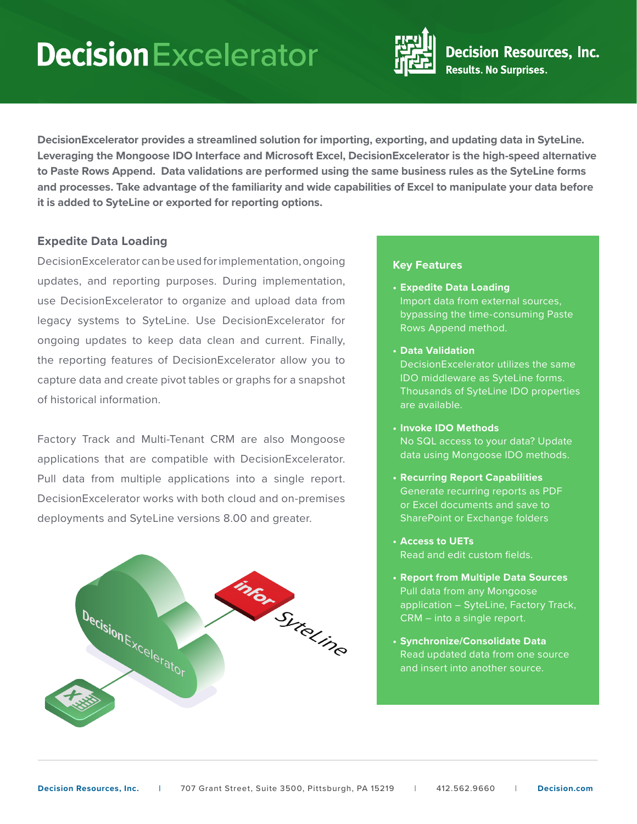## **Decision** Excelerator



**DecisionExcelerator provides a streamlined solution for importing, exporting, and updating data in SyteLine. Leveraging the Mongoose IDO Interface and Microsoft Excel, DecisionExcelerator is the high-speed alternative to Paste Rows Append. Data validations are performed using the same business rules as the SyteLine forms and processes. Take advantage of the familiarity and wide capabilities of Excel to manipulate your data before it is added to SyteLine or exported for reporting options.**

## **Expedite Data Loading**

DecisionExcelerator can be used for implementation, ongoing updates, and reporting purposes. During implementation, use DecisionExcelerator to organize and upload data from legacy systems to SyteLine. Use DecisionExcelerator for ongoing updates to keep data clean and current. Finally, the reporting features of DecisionExcelerator allow you to capture data and create pivot tables or graphs for a snapshot of historical information.

Factory Track and Multi-Tenant CRM are also Mongoose applications that are compatible with DecisionExcelerator. Pull data from multiple applications into a single report. DecisionExcelerator works with both cloud and on-premises deployments and SyteLine versions 8.00 and greater.



#### **Key Features**

- **• Expedite Data Loading** Import data from external sources, bypassing the time-consuming Paste Rows Append method.
- **• Data Validation**

DecisionExcelerator utilizes the same IDO middleware as SyteLine forms. Thousands of SyteLine IDO properties are available.

- **• Invoke IDO Methods** No SQL access to your data? Update data using Mongoose IDO methods.
- **• Recurring Report Capabilities** Generate recurring reports as PDF or Excel documents and save to SharePoint or Exchange folders
- **• Access to UETs** Read and edit custom fields.
- **• Report from Multiple Data Sources** Pull data from any Mongoose application – SyteLine, Factory Track, CRM – into a single report.
- **• Synchronize/Consolidate Data** Read updated data from one source and insert into another source.